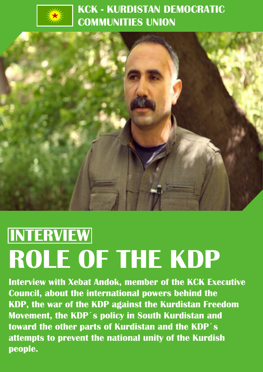

### **KCK - KURDISTAN DEMOCRATIC COMMUNITIES UNION**



# **ROLE OF THE KDP INTERVIEW**

**Interview with Xebat Andok, member of the KCK Executive Council, about the international powers behind the KDP, the war of the KDP against the Kurdistan Freedom Movement, the KDP´s policy in South Kurdistan and toward the other parts of Kurdistan and the KDP´s attempts to prevent the national unity of the Kurdish people.**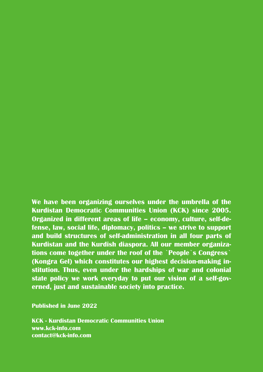**We have been organizing ourselves under the umbrella of the Kurdistan Democratic Communities Union (KCK) since 2005. Organized in different areas of life – economy, culture, self-defense, law, social life, diplomacy, politics – we strive to support and build structures of self-administration in all four parts of Kurdistan and the Kurdish diaspora. All our member organizations come together under the roof of the `People`s Congress` (Kongra Gel) which constitutes our highest decision-making institution. Thus, even under the hardships of war and colonial state policy we work everyday to put our vision of a self-governed, just and sustainable society into practice.**

**Published in June 2022**

**KCK - Kurdistan Democratic Communities Union www.kck-info.com contact@kck-info.com**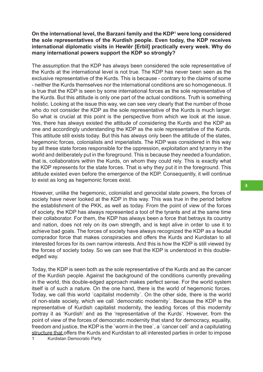#### **On the international level, the Barzani family and the KDP1 were long considered the sole representatives of the Kurdish people. Even today, the KDP receives international diplomatic visits in Hewlêr [Erbil] practically every week. Why do many international powers support the KDP so strongly?**

The assumption that the KDP has always been considered the sole representative of the Kurds at the international level is not true. The KDP has never been seen as the exclusive representative of the Kurds. This is because - contrary to the claims of some - neither the Kurds themselves nor the international conditions are so homogeneous. It is true that the KDP is seen by some international forces as the sole representative of the Kurds. But this attitude is only one part of the actual conditions. Truth is something holistic. Looking at the issue this way, we can see very clearly that the number of those who do not consider the KDP as the sole representative of the Kurds is much larger. So what is crucial at this point is the perspective from which we look at the issue. Yes, there has always existed the attitude of considering the Kurds and the KDP as one and accordingly understanding the KDP as the sole representative of the Kurds. This attitude still exists today. But this has always only been the attitude of the states, hegemonic forces, colonialists and imperialists. The KDP was considered in this way by all these state forces responsible for the oppression, exploitation and tyranny in the world and deliberately put in the foreground. This is because they needed a foundation, that is, collaborators within the Kurds, on whom they could rely. This is exactly what the KDP represents for the state forces. That is why they put it in the foreground. This attitude existed even before the emergence of the KDP. Consequently, it will continue to exist as long as hegemonic forces exist.

However, unlike the hegemonic, colonialist and genocidal state powers, the forces of society have never looked at the KDP in this way. This was true in the period before the establishment of the PKK, as well as today. From the point of view of the forces of society, the KDP has always represented a tool of the tyrants and at the same time their collaborator. For them, the KDP has always been a force that betrays its country and nation, does not rely on its own strength, and is kept alive in order to use it to achieve bad goals. The forces of society have always recognized the KDP as a feudal comprador force that makes conspiracies and offers the Kurds and Kurdistan to all interested forces for its own narrow interests. And this is how the KDP is still viewed by the forces of society today. So we can see that the KDP is understood in this doubleedged way.

Today, the KDP is seen both as the sole representative of the Kurds and as the cancer of the Kurdish people. Against the background of the conditions currently prevailing in the world, this double-edged approach makes perfect sense. For the world system itself is of such a nature. On the one hand, there is the world of hegemonic forces. Today, we call this world ´capitalist modernity´. On the other side, there is the world of non-state society, which we call ´democratic modernity´. Because the KDP is the representative of Kurdish capitalist modernity, the leading forces of this modernity portray it as 'Kurdish' and as the 'representative of the Kurds'. However, from the point of view of the forces of democratic modernity that stand for democracy, equality, freedom and justice, the KDP is the `worm in the tree`, a `cancer cell` and a capitulating structure that offers the Kurds and Kurdistan to all interested parties in order to impose **3**

1 Kurdistan Democratic Party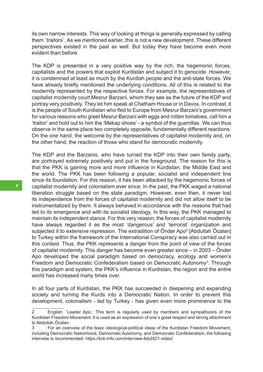its own narrow interests. This way of looking at things is generally expressed by calling them `traitors`. As we mentioned earlier, this is not a new development. These different perspectives existed in the past as well. But today they have become even more evident than before.

The KDP is presented in a very positive way by the rich, the hegemonic forces, capitalists and the powers that exploit Kurdistan and subject it to genocide. However, it is condemned at least as much by the Kurdish people and the anti-state forces. We have already briefly mentioned the underlying conditions. All of this is related to the modernity represented by the respective forces. For example, the representatives of capitalist modernity court Mesrur Barzani, whom they see as the future of the KDP and portray very positively. They let him speak at Chatham House or in Davos. In contrast, it is the people of South Kurdistan who fled to Europe from Mesrur Barzani's government for various reasons who greet Mesrur Barzani with eggs and rotten tomatoes, call him a 'traitor' and hold out to him the 'Mekap shoes' - a symbol of the guerrillas. We can thus observe in the same place two completely opposite, fundamentally different reactions. On the one hand, the welcome by the representatives of capitalist modernity and, on the other hand, the reaction of those who stand for democratic modernity.

The KDP and the Barzanis, who have turned the KDP into their own family party, are portrayed extremely positively and put in the foreground. The reason for this is that the PKK is gaining more and more influence in Kurdistan, the Middle East and the world. The PKK has been following a popular, socialist and independent line since its foundation. For this reason, it has been attacked by the hegemonic forces of capitalist modernity and colonialism ever since. In the past, the PKK waged a national liberation struggle based on the state paradigm. However, even then, it never lost its independence from the forces of capitalist modernity and did not allow itself to be instrumentalized by them. It always behaved in accordance with the reasons that had led to its emergence and with its socialist ideology. In this way, the PKK managed to maintain its independent stance. For this very reason, the forces of capitalist modernity have always regarded it as the most 'dangerous' and 'terrorist' organization and subjected it to extensive repression. The extradition of Önder Apo2 [Abdullah Öcalan] to Turkey within the framework of the International Conspiracy was also carried out in this context. Thus, the PKK represents a danger from the point of view of the forces of capitalist modernity. This danger has become even greater since – in 2003 – Önder Apo developed the social paradigm based on democracy, ecology and women's Freedom and Democratic Confederalism based on Democratic Autonomy<sup>3</sup>. Through this paradigm and system, the PKK's influence in Kurdistan, the region and the entire world has increased many times over.

In all four parts of Kurdistan, the PKK has succeeded in deepening and expanding society and turning the Kurds into a Democratic Nation. In order to prevent this development, colonialism - led by Turkey - has given even more prominence to the

<sup>2</sup> English: `Leader Apo`; This term is regularly used by members and sympathizers of the Kurdistan Freedom Movement. It is used as an expression of one´s great respect and strong attachment to Abdullah Öcalan.

<sup>3</sup> For an overview of the basic ideological-political ideas of the Kurdistan Freedom Movement, including Democratic Nationhood, Democratic Autonomy, and Democratic Confederalism, the following interview is recommended: https://kck-info.com/interview-feb2421-video/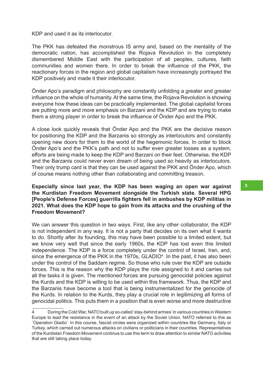KDP and used it as its interlocutor.

The PKK has defeated the monstrous IS army and, based on the mentality of the democratic nation, has accomplished the Rojava Revolution in the completely dismembered Middle East with the participation of all peoples, cultures, faith communities and women there. In order to break the influence of the PKK, the reactionary forces in the region and global capitalism have increasingly portrayed the KDP positively and made it their interlocutor.

Önder Apo's paradigm and philosophy are constantly unfolding a greater and greater influence on the whole of humanity. At the same time, the Rojava Revolution is showing everyone how these ideas can be practically implemented. The global capitalist forces are putting more and more emphasis on Barzani and the KDP and are trying to make them a strong player in order to break the influence of Önder Apo and the PKK.

A close look quickly reveals that Önder Apo and the PKK are the decisive reason for positioning the KDP and the Barzanis so strongly as interlocutors and constantly opening new doors for them to the world of the hegemonic forces. In order to block Önder Apo's and the PKK's path and not to suffer even greater losses as a system, efforts are being made to keep the KDP and Barzani on their feet. Otherwise, the KDP and the Barzanis could never even dream of being used so heavily as interlocutors. Their only trump card is that they can be used against the PKK and Önder Apo, which of course means nothing other than collaborating and committing treason.

**Especially since last year, the KDP has been waging an open war against the Kurdistan Freedom Movement alongside the Turkish state. Several HPG [People's Defense Forces] guerrilla fighters fell in ambushes by KDP militias in 2021. What does the KDP hope to gain from its attacks and the crushing of the Freedom Movement?**

We can answer this question in two ways. First, like any other collaborator, the KDP is not independent in any way. It is not a party that decides on its own what it wants to do. Shortly after its founding, this may have been possible to a limited extent, but we know very well that since the early 1960s, the KDP has lost even this limited independence. The KDP is a force completely under the control of Israel, Iran, and, since the emergence of the PKK in the 1970s, GLADIO $^4$ . In the past, it has also been under the control of the Saddam regime. So those who rule over the KDP are outside forces. This is the reason why the KDP plays the role assigned to it and carries out all the tasks it is given. The mentioned forces are pursuing genocidal policies against the Kurds and the KDP is willing to be used within this framework. Thus, the KDP and the Barzanis have become a tool that is being instrumentalized for the genocide of the Kurds. In relation to the Kurds, they play a crucial role in legitimizing all forms of genocidal politics. This puts them in a position that is even worse and more destructive

<sup>4</sup> During the Cold War, NATO built up so-called 'stay-behind armies' in various countries in Western Europe to lead the resistance in the event of an attack by the Soviet Union. NATO referred to this as `Operation Gladio'. In this course, fascist circles were organized within countries like Germany, Italy or Turkey, which carried out numerous attacks on civilians or politicians in their countries. Representatives of the Kurdistan Freedom Movement continue to use this term to draw attention to similar NATO activities that are still taking place today.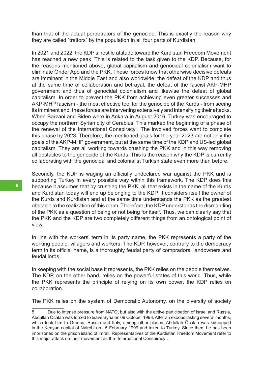than that of the actual perpetrators of the genocide. This is exactly the reason why they are called `traitors` by the population in all four parts of Kurdistan.

In 2021 and 2022, the KDP's hostile attitude toward the Kurdistan Freedom Movement has reached a new peak. This is related to the task given to the KDP. Because, for the reasons mentioned above, global capitalism and genocidal colonialism want to eliminate Önder Apo and the PKK. These forces know that otherwise decisive defeats are imminent in the Middle East and also worldwide: the defeat of the KDP and thus at the same time of collaboration and betrayal, the defeat of the fascist AKP-MHP government and thus of genocidal colonialism and likewise the defeat of global capitalism. In order to prevent the PKK from achieving even greater successes and AKP-MHP fascism - the most effective tool for the genocide of the Kurds - from seeing its imminent end, these forces are intervening extensively and intensifying their attacks. When Barzani and Biden were in Ankara in August 2016, Turkey was encouraged to occupy the northern Syrian city of Cerablus. This marked the beginning of a phase of the renewal of the International Conspiracy<sup>5</sup>. The involved forces want to complete this phase by 2023. Therefore, the mentioned goals for the year 2023 are not only the goals of the AKP-MHP government, but at the same time of the KDP and US-led global capitalism. They are all working towards crushing the PKK and in this way removing all obstacles to the genocide of the Kurds. This is the reason why the KDP is currently collaborating with the genocidal and colonialist Turkish state even more than before.

Secondly, the KDP is waging an officially undeclared war against the PKK and is supporting Turkey in every possible way within this framework. The KDP does this because it assumes that by crushing the PKK, all that exists in the name of the Kurds and Kurdistan today will end up belonging to the KDP. It considers itself the owner of the Kurds and Kurdistan and at the same time understands the PKK as the greatest obstacle to the realization of this claim. Therefore, the KDP understands the dismantling of the PKK as a question of being or not being for itself. Thus, we can clearly say that the PKK and the KDP are two completely different things from an ontological point of view.

In line with the workers' term in its party name, the PKK represents a party of the working people, villagers and workers. The KDP, however, contrary to the democracy term in its official name, is a thoroughly feudal party of compradors, landowners and feudal lords.

In keeping with the social base it represents, the PKK relies on the people themselves. The KDP, on the other hand, relies on the powerful states of this world. Thus, while the PKK represents the principle of relying on its own power, the KDP relies on collaboration.

The PKK relies on the system of Democratic Autonomy, on the diversity of society

<sup>5</sup> Due to intense pressure from NATO, but also with the active participation of Israel and Russia, Abdullah Öcalan was forced to leave Syria on 09 October 1998. After an exodus lasting several months, which took him to Greece, Russia and Italy, among other places, Abdullah Öcalan was kidnapped in the Kenyan capital of Nairobi on 15 February 1999 and taken to Turkey. Since then, he has been imprisoned on the prison island of Imrali. Representatives of the Kurdistan Freedom Movement refer to this major attack on their movement as the `International Conspiracy`.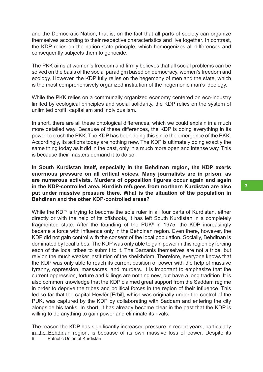and the Democratic Nation, that is, on the fact that all parts of society can organize themselves according to their respective characteristics and live together. In contrast, the KDP relies on the nation-state principle, which homogenizes all differences and consequently subjects them to genocide.

The PKK aims at women's freedom and firmly believes that all social problems can be solved on the basis of the social paradigm based on democracy, women's freedom and ecology. However, the KDP fully relies on the hegemony of men and the state, which is the most comprehensively organized institution of the hegemonic man's ideology.

While the PKK relies on a communally organized economy centered on eco-industry limited by ecological principles and social solidarity, the KDP relies on the system of unlimited profit, capitalism and individualism.

In short, there are all these ontological differences, which we could explain in a much more detailed way. Because of these differences, the KDP is doing everything in its power to crush the PKK. The KDP has been doing this since the emergence of the PKK. Accordingly, its actions today are nothing new. The KDP is ultimately doing exactly the same thing today as it did in the past, only in a much more open and intense way. This is because their masters demand it to do so.

**In South Kurdistan itself, especially in the Behdinan region, the KDP exerts enormous pressure on all critical voices. Many journalists are in prison, as are numerous activists. Murders of opposition figures occur again and again in the KDP-controlled area. Kurdish refugees from northern Kurdistan are also put under massive pressure there. What is the situation of the population in Behdinan and the other KDP-controlled areas?**

While the KDP is trying to become the sole ruler in all four parts of Kurdistan, either directly or with the help of its offshoots, it has left South Kurdistan in a completely fragmented state. After the founding of the  $PUK^{\circ}$  in 1975, the KDP increasingly became a force with influence only in the Behdinan region. Even there, however, the KDP did not gain control with the consent of the local population. Socially, Behdinan is dominated by local tribes. The KDP was only able to gain power in this region by forcing each of the local tribes to submit to it. The Barzanis themselves are not a tribe, but rely on the much weaker institution of the sheikhdom. Therefore, everyone knows that the KDP was only able to reach its current position of power with the help of massive tyranny, oppression, massacres, and murders. It is important to emphasize that the current oppression, torture and killings are nothing new, but have a long tradition. It is also common knowledge that the KDP claimed great support from the Saddam regime in order to deprive the tribes and political forces in the region of their influence. This led so far that the capital Hewlêr [Erbil], which was originally under the control of the PUK, was captured by the KDP by collaborating with Saddam and entering the city alongside his tanks. In short, it has already become clear in the past that the KDP is willing to do anything to gain power and eliminate its rivals.

The reason the KDP has significantly increased pressure in recent years, particularly in the Behdinan region, is because of its own massive loss of power. Despite its 6 Patriotic Union of Kurdistan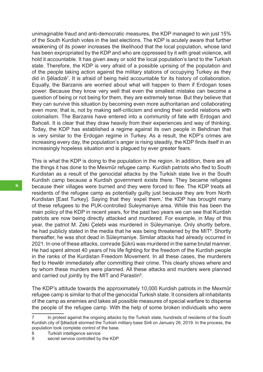unimaginable fraud and anti-democratic measures, the KDP managed to win just 15% of the South Kurdish votes in the last elections. The KDP is acutely aware that further weakening of its power increases the likelihood that the local population, whose land has been expropriated by the KDP and who are oppressed by it with great violence, will hold it accountable. It has given away or sold the local population's land to the Turkish state. Therefore, the KDP is very afraid of a possible uprising of the population and of the people taking action against the military stations of occupying Turkey as they did in Şêladizê<sup>7</sup> . It is afraid of being held accountable for its history of collaboration. Equally, the Barzanis are worried about what will happen to them if Erdogan loses power. Because they know very well that even the smallest mistake can become a question of being or not being for them, they are extremely tense. But they believe that they can survive this situation by becoming even more authoritarian and collaborating even more; that is, not by making self-criticism and ending their sordid relations with colonialism. The Barzanis have entered into a community of fate with Erdogan and Bahceli. It is clear that they draw heavily from their experiences and way of thinking. Today, the KDP has established a regime against its own people in Behdinan that is very similar to the Erdogan regime in Turkey. As a result, the KDP's crimes are increasing every day, the population's anger is rising steadily, the KDP finds itself in an increasingly hopeless situation and is plagued by ever greater fears.

This is what the KDP is doing to the population in the region. In addition, there are all the things it has done to the Mexmûr refugee camp. Kurdish patriots who fled to South Kurdistan as a result of the genocidal attacks by the Turkish state live in the South Kurdish camp because a Kurdish government exists there. They became refugees because their villages were burned and they were forced to flee. The KDP treats all residents of the refugee camp as potentially guilty just because they are from North Kurdistan [East Turkey]. Saying that they 'expel them,' the KDP has brought many of these refugees to the PUK-controlled Suleymaniye area. While this has been the main policy of the KDP in recent years, for the past two years we can see that Kurdish patriots are now being directly attacked and murdered. For example, in May of this year, the patriot M. Zeki Çelebi was murdered in Süleymaniye. Only shortly before, he had publicly stated in the media that he was being threatened by the MIT<sup>8</sup>. Shortly thereafter, he was shot dead in Süleymaniye. Similar attacks had already occurred in 2021. In one of these attacks, comrade Şükrü was murdered in the same brutal manner. He had spent almost 40 years of his life fighting for the freedom of the Kurdish people in the ranks of the Kurdistan Freedom Movement. In all these cases, the murderers fled to Hewlêr immediately after committing their crime. This clearly shows where and by whom these murders were planned. All these attacks and murders were planned and carried out jointly by the MIT and Parastin $^{\circ}$ .

The KDP's attitude towards the approximately 10,000 Kurdish patriots in the Mexmûr refugee camp is similar to that of the genocidal Turkish state. It considers all inhabitants of the camp as enemies and takes all possible measures of special warfare to disperse the people of the refugee camp. With the help of some broken individuals who were

<sup>7</sup> In protest against the ongoing attacks by the Turkish state, hundreds of residents of the South Kurdish city of Şêladizê stormed the Turkish military base Sirê on January 26, 2019. In the process, the population took complete control of the base.

<sup>8</sup> Turkish intelligence service

<sup>9</sup> secret service controlled by the KDP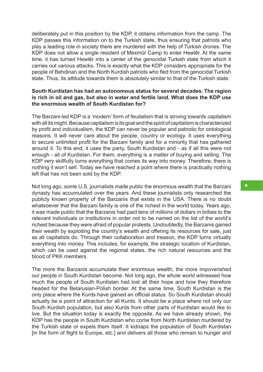deliberately put in this position by the KDP, it obtains information from the camp. The KDP passes this information on to the Turkish state, thus ensuring that patriots who play a leading role in society there are murdered with the help of Turkish drones. The KDP does not allow a single resident of Mexmûr Camp to enter Hewlêr. At the same time, it has turned Hewlêr into a center of the genocidal Turkish state from which it carries out various attacks. This is exactly what the KDP considers appropriate for the people of Behdinan and the North Kurdish patriots who fled from the genocidal Turkish state. Thus, its attitude towards them is absolutely similar to that of the Turkish state.

#### **South Kurdistan has had an autonomous status for several decades. The region is rich in oil and gas, but also in water and fertile land. What does the KDP use the enormous wealth of South Kurdistan for?**

The Barzani-led KDP is a 'modern' form of feudalism that is striving towards capitalism with all its might. Because capitalism is its goal and the spirit of capitalism is characterized by profit and individualism, the KDP can never be popular and patriotic for ontological reasons. It will never care about the people, country or ecology. It uses everything to secure unlimited profit for the Barzani family and for a minority that has gathered around it. To this end, it uses the party, South Kurdistan and - as if all this were not enough - all of Kurdistan. For them, everything is a matter of buying and selling. The KDP very skillfully turns everything that comes its way into money. Therefore, there is nothing it won't sell. Today we have reached a point where there is practically nothing left that has not been sold by the KDP.

Not long ago, some U.S. journalists made public the enormous wealth that the Barzani dynasty has accumulated over the years. And these journalists only researched the publicly known property of the Barzanis that exists in the USA. There is no doubt whatsoever that the Barzani family is one of the richest in the world today. Years ago, it was made public that the Barzanis had paid tens of millions of dollars in bribes to the relevant individuals or institutions in order not to be named on the list of the world's richest because they were afraid of popular protests. Undoubtedly, the Barzanis gained their wealth by exploiting the country's wealth and offering its resources for sale, just as all capitalists do. Through their collaboration and treason, the KDP turns virtually everything into money. This includes, for example, the strategic location of Kurdistan, which can be used against the regional states, the rich natural resources and the blood of PKK members.

The more the Barzanis accumulate their enormous wealth, the more impoverished our people in South Kurdistan become. Not long ago, the whole world witnessed how much the people of South Kurdistan had lost all their hope and how they therefore headed for the Belarusian-Polish border. At the same time, South Kurdistan is the only place where the Kurds have gained an official status. So South Kurdistan should actually be a point of attraction for all Kurds. It should be a place where not only our South Kurdish population, but also Kurds from other parts of Kurdistan would like to live. But the situation today is exactly the opposite. As we have already shown, the KDP has the people in South Kurdistan who come from North Kurdistan murdered by the Turkish state or expels them itself. It kidnaps the population of South Kurdistan [in the form of flight to Europe, etc.] and delivers all those who remain to hunger and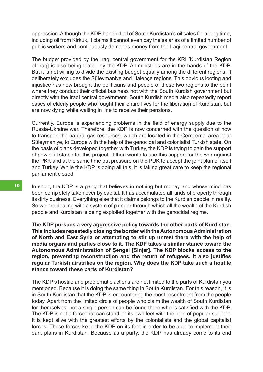oppression. Although the KDP handled all of South Kurdistan's oil sales for a long time, including oil from Kirkuk, it claims it cannot even pay the salaries of a limited number of public workers and continuously demands money from the Iraqi central government.

The budget provided by the Iraqi central government for the KRI [Kurdistan Region of Iraq] is also being looted by the KDP. All ministries are in the hands of the KDP. But it is not willing to divide the existing budget equally among the different regions. It deliberately excludes the Süleymaniye and Halepçe regions. This obvious looting and injustice has now brought the politicians and people of these two regions to the point where they conduct their official business not with the South Kurdish government but directly with the Iraqi central government. South Kurdish media also repeatedly report cases of elderly people who fought their entire lives for the liberation of Kurdistan, but are now dying while waiting in line to receive their pensions.

Currently, Europe is experiencing problems in the field of energy supply due to the Russia-Ukraine war. Therefore, the KDP is now concerned with the question of how to transport the natural gas resources, which are located in the Çemçemal area near Süleymaniye, to Europe with the help of the genocidal and colonialist Turkish state. On the basis of plans developed together with Turkey, the KDP is trying to gain the support of powerful states for this project. It then wants to use this support for the war against the PKK and at the same time put pressure on the PUK to accept the joint plan of itself and Turkey. While the KDP is doing all this, it is taking great care to keep the regional parliament closed.

In short, the KDP is a gang that believes in nothing but money and whose mind has been completely taken over by capital. It has accumulated all kinds of property through its dirty business. Everything else that it claims belongs to the Kurdish people in reality. So we are dealing with a system of plunder through which all the wealth of the Kurdish people and Kurdistan is being exploited together with the genocidal regime.

**The KDP pursues a very aggressive policy towards the other parts of Kurdistan. This includes repeatedly closing the border with the Autonomous Administration of North and East Syria or attempting to stir up unrest there with the help of media organs and parties close to it. The KDP takes a similar stance toward the Autonomous Administration of Şengal [Sinjar]. The KDP blocks access to the region, preventing reconstruction and the return of refugees. It also justifies regular Turkish airstrikes on the region. Why does the KDP take such a hostile stance toward these parts of Kurdistan?**

The KDP's hostile and problematic actions are not limited to the parts of Kurdistan you mentioned. Because it is doing the same thing in South Kurdistan. For this reason, it is in South Kurdistan that the KDP is encountering the most resentment from the people today. Apart from the limited circle of people who claim the wealth of South Kurdistan for themselves, not a single person can be found there who is satisfied with the KDP. The KDP is not a force that can stand on its own feet with the help of popular support. It is kept alive with the greatest efforts by the colonialists and the global capitalist forces. These forces keep the KDP on its feet in order to be able to implement their dark plans in Kurdistan. Because as a party, the KDP has already come to its end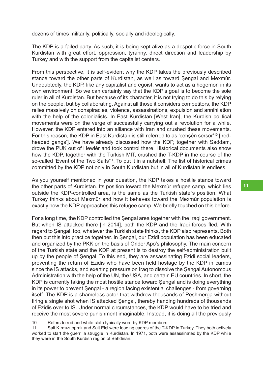dozens of times militarily, politically, socially and ideologically.

The KDP is a failed party. As such, it is being kept alive as a despotic force in South Kurdistan with great effort, oppression, tyranny, direct direction and leadership by Turkey and with the support from the capitalist centers.

From this perspective, it is self-evident why the KDP takes the previously described stance toward the other parts of Kurdistan, as well as toward Şengal and Mexmûr. Undoubtedly, the KDP, like any capitalist and egoist, wants to act as a hegemon in its own environment. So we can certainly say that the KDP's goal is to become the sole ruler in all of Kurdistan. But because of its character, it is not trying to do this by relying on the people, but by collaborating. Against all those it considers competitors, the KDP relies massively on conspiracies, violence, assassinations, expulsion and annihilation with the help of the colonialists. In East Kurdistan [West Iran], the Kurdish political movements were on the verge of successfully carrying out a revolution for a while. However, the KDP entered into an alliance with Iran and crushed these movements. For this reason, the KDP in East Kurdistan is still referred to as 'cehsên sersor'<sup>10</sup> ['redheaded gangs']. We have already discussed how the KDP, together with Saddam, drove the PUK out of Hewlêr and took control there. Historical documents also show how the KDP, together with the Turkish MIT, crushed the T-KDP in the course of the so-called 'Event of the Two Saits'<sup>11</sup>. To put it in a nutshell: The list of historical crimes committed by the KDP not only in South Kurdistan but in all of Kurdistan is endless.

As you yourself mentioned in your question, the KDP takes a hostile stance toward the other parts of Kurdistan. Its position toward the Mexmûr refugee camp, which lies outside the KDP-controlled area, is the same as the Turkish state´s position. What Turkey thinks about Mexmûr and how it behaves toward the Mexmûr population is exactly how the KDP approaches this refugee camp. We briefly touched on this before.

For a long time, the KDP controlled the Şengal area together with the Iraqi government. But when IS attacked there [in 2014], both the KDP and the Iraqi forces fled. With regard to Şengal, too, whatever the Turkish state thinks, the KDP also represents. Both then put this into practice together. In Şengal, our Ezidi population has been educated and organized by the PKK on the basis of Önder Apo's philosophy. The main concern of the Turkish state and the KDP at present is to destroy the self-administration built up by the people of Şengal. To this end, they are assassinating Ezidi social leaders, preventing the return of Ezidis who have been held hostage by the KDP in camps since the IS attacks, and exerting pressure on Iraq to dissolve the Şengal Autonomous Administration with the help of the UN, the USA, and certain EU countries. In short, the KDP is currently taking the most hostile stance toward Şengal and is doing everything in its power to prevent Şengal - a region facing existential challenges - from governing itself. The KDP is a shameless actor that withdrew thousands of Peshmerga without firing a single shot when IS attacked Şengal, thereby handing hundreds of thousands of Ezidis over to IS. Under normal circumstances, the KDP would have to be tried and receive the most severe punishment imaginable. Instead, it is doing all the previously

<sup>10</sup> Refers to red and white cloth typically worn by KDP members.

<sup>11</sup> Sait Kırmızıtoprak and Sait Elçi were leading cadres of the T-KDP in Turkey. They both actively worked to start the guerrilla struggle in Kurdistan. In 1971, both were assassinated by the KDP while they were in the South Kurdish region of Behdinan.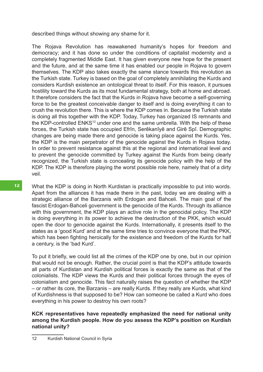described things without showing any shame for it.

The Rojava Revolution has reawakened humanity's hopes for freedom and democracy; and it has done so under the conditions of capitalist modernity and a completely fragmented Middle East. It has given everyone new hope for the present and the future, and at the same time it has enabled our people in Rojava to govern themselves. The KDP also takes exactly the same stance towards this revolution as the Turkish state. Turkey is based on the goal of completely annihilating the Kurds and considers Kurdish existence an ontological threat to itself. For this reason, it pursues hostility toward the Kurds as its most fundamental strategy, both at home and abroad. It therefore considers the fact that the Kurds in Rojava have become a self-governing force to be the greatest conceivable danger to itself and is doing everything it can to crush the revolution there. This is where the KDP comes in. Because the Turkish state is doing all this together with the KDP. Today, Turkey has organized IS remnants and the KDP-controlled ENKS<sup>12</sup> under one and the same umbrella. With the help of these forces, the Turkish state has occupied Efrîn, Serêkanîyê and Girê Spî. Demographic changes are being made there and genocide is taking place against the Kurds. Yes, the KDP is the main perpetrator of the genocide against the Kurds in Rojava today. In order to prevent resistance against this at the regional and international level and to prevent the genocide committed by Turkey against the Kurds from being clearly recognized, the Turkish state is concealing its genocide policy with the help of the KDP. The KDP is therefore playing the worst possible role here, namely that of a dirty veil.

What the KDP is doing in North Kurdistan is practically impossible to put into words. Apart from the alliances it has made there in the past, today we are dealing with a strategic alliance of the Barzanis with Erdogan and Bahceli. The main goal of the fascist Erdogan-Bahceli government is the genocide of the Kurds. Through its alliance with this government, the KDP plays an active role in the genocidal policy. The KDP is doing everything in its power to achieve the destruction of the PKK, which would open the door to genocide against the Kurds. Internationally, it presents itself to the states as a 'good Kurd' and at the same time tries to convince everyone that the PKK, which has been fighting heroically for the existence and freedom of the Kurds for half a century, is the 'bad Kurd'.

To put it briefly, we could list all the crimes of the KDP one by one, but in our opinion that would not be enough. Rather, the crucial point is that the KDP's attitude towards all parts of Kurdistan and Kurdish political forces is exactly the same as that of the colonialists. The KDP views the Kurds and their political forces through the eyes of colonialism and genocide. This fact naturally raises the question of whether the KDP – or rather its core, the Barzanis – are really Kurds. If they really are Kurds, what kind of Kurdishness is that supposed to be? How can someone be called a Kurd who does everything in his power to destroy his own roots?

#### **KCK representatives have repeatedly emphasized the need for national unity among the Kurdish people. How do you assess the KDP's position on Kurdish national unity?**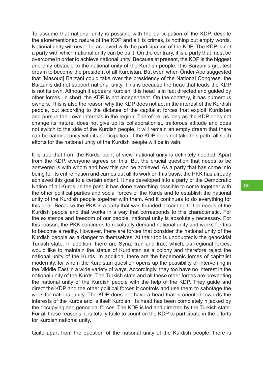To assume that national unity is possible with the participation of the KDP, despite the aforementioned nature of the KDP and all its crimes, is nothing but empty words. National unity will never be achieved with the participation of the KDP. The KDP is not a party with which national unity can be built. On the contrary, it is a party that must be overcome in order to achieve national unity. Because at present, the KDP is the biggest and only obstacle to the national unity of the Kurdish people. It is Barzani's greatest dream to become the president of all Kurdistan. But even when Önder Apo suggested that [Masoud] Barzani could take over the presidency of the National Congress, the Barzanis did not support national unity. This is because the head that leads the KDP is not its own. Although it appears Kurdish, this head is in fact directed and guided by other forces. In short, the KDP is not independent. On the contrary, it has numerous owners. This is also the reason why the KDP does not act in the interest of the Kurdish people, but according to the dictates of the capitalist forces that exploit Kurdistan and pursue their own interests in the region. Therefore, as long as the KDP does not change its nature, does not give up its collaborationist, traitorous attitude and does not switch to the side of the Kurdish people, it will remain an empty dream that there can be national unity with its participation. If the KDP does not take this path, all such efforts for the national unity of the Kurdish people will be in vain.

It is true that from the Kurds' point of view, national unity is definitely needed. Apart from the KDP, everyone agrees on this. But the crucial question that needs to be answered is with whom and how this can be achieved. As a party that has come into being for its entire nation and carries out all its work on this basis, the PKK has already achieved this goal to a certain extent. It has developed into a party of the Democratic Nation of all Kurds. In the past, it has done everything possible to come together with the other political parties and social forces of the Kurds and to establish the national unity of the Kurdish people together with them. And it continues to do everything for this goal. Because the PKK is a party that was founded according to the needs of the Kurdish people and that works in a way that corresponds to this characteristic. For the existence and freedom of our people, national unity is absolutely necessary. For this reason, the PKK continues to resolutely demand national unity and works for this to become a reality. However, there are forces that consider the national unity of the Kurdish people as a danger to themselves. At their top is undoubtedly the genocidal Turkish state. In addition, there are Syria, Iran and Iraq, which, as regional forces, would like to maintain the status of Kurdistan as a colony and therefore reject the national unity of the Kurds. In addition, there are the hegemonic forces of capitalist modernity, for whom the Kurdistan question opens up the possibility of intervening in the Middle East in a wide variety of ways. Accordingly, they too have no interest in the national unity of the Kurds. The Turkish state and all these other forces are preventing the national unity of the Kurdish people with the help of the KDP. They guide and direct the KDP and the other political forces it controls and use them to sabotage the work for national unity. The KDP does not have a head that is oriented towards the interests of the Kurds and is itself Kurdish. Its head has been completely hijacked by the occupying and genocidal forces. The KDP is led and directed by the Turkish state. For all these reasons, it is totally futile to count on the KDP to participate in the efforts for Kurdish national unity.

Quite apart from the question of the national unity of the Kurdish people, there is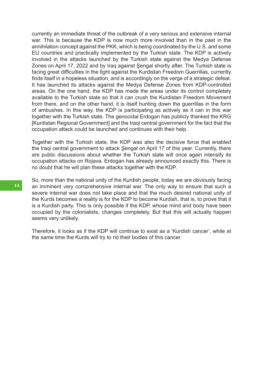currently an immediate threat of the outbreak of a very serious and extensive internal war. This is because the KDP is now much more involved than in the past in the annihilation concept against the PKK, which is being coordinated by the U.S. and some EU countries and practically implemented by the Turkish state. The KDP is actively involved in the attacks launched by the Turkish state against the Medya Defense Zones on April 17, 2022 and by Iraq against Şengal shortly after. The Turkish state is facing great difficulties in the fight against the Kurdistan Freedom Guerrillas, currently finds itself in a hopeless situation, and is accordingly on the verge of a strategic defeat. It has launched its attacks against the Medya Defense Zones from KDP-controlled areas. On the one hand, the KDP has made the areas under its control completely available to the Turkish state so that it can crush the Kurdistan Freedom Movement from there, and on the other hand, it is itself hunting down the guerrillas in the form of ambushes. In this way, the KDP is participating as actively as it can in this war together with the Turkish state. The genocidal Erdogan has publicly thanked the KRG [Kurdistan Regional Government] and the Iraqi central government for the fact that the occupation attack could be launched and continues with their help.

Together with the Turkish state, the KDP was also the decisive force that enabled the Iraqi central government to attack Şengal on April 17 of this year. Currently, there are public discussions about whether the Turkish state will once again intensify its occupation attacks on Rojava. Erdogan has already announced exactly this. There is no doubt that he will plan these attacks together with the KDP.

So, more than the national unity of the Kurdish people, today we are obviously facing an imminent very comprehensive internal war. The only way to ensure that such a severe internal war does not take place and that the much desired national unity of the Kurds becomes a reality is for the KDP to become Kurdish, that is, to prove that it is a Kurdish party. This is only possible if the KDP, whose mind and body have been occupied by the colonialists, changes completely. But that this will actually happen seems very unlikely.

Therefore, it looks as if the KDP will continue to exist as a 'Kurdish cancer', while at the same time the Kurds will try to rid their bodies of this cancer.